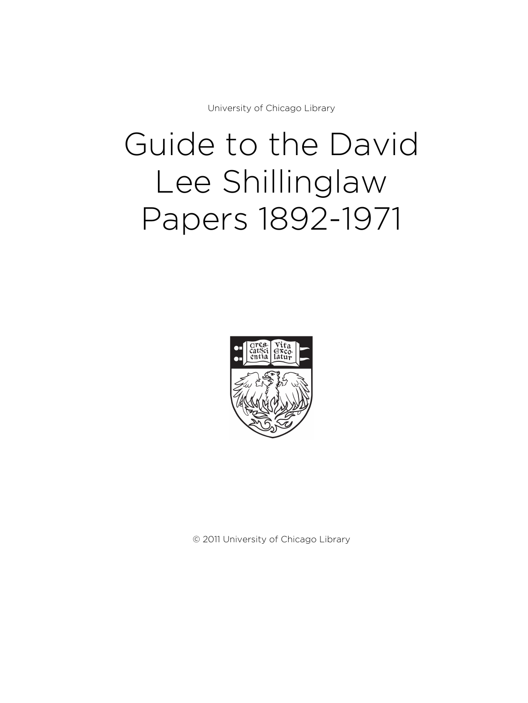University of Chicago Library

# Guide to the David Lee Shillinglaw Papers 1892-1971



© 2011 University of Chicago Library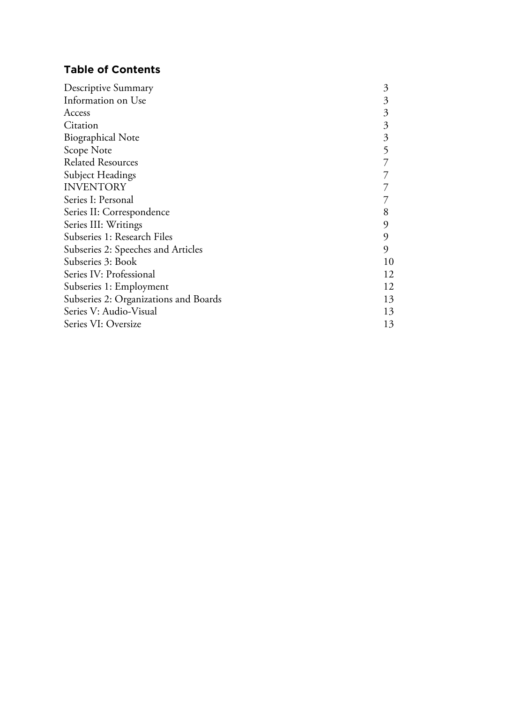# **Table of Contents**

| Descriptive Summary                   | 3  |
|---------------------------------------|----|
| Information on Use                    | 3  |
| Access                                | 3  |
| Citation                              | 3  |
| <b>Biographical Note</b>              | 3  |
| Scope Note                            | 5  |
| <b>Related Resources</b>              |    |
| Subject Headings                      |    |
| <b>INVENTORY</b>                      |    |
| Series I: Personal                    |    |
| Series II: Correspondence             | 8  |
| Series III: Writings                  | 9  |
| Subseries 1: Research Files           | 9  |
| Subseries 2: Speeches and Articles    | 9  |
| Subseries 3: Book                     | 10 |
| Series IV: Professional               | 12 |
| Subseries 1: Employment               | 12 |
| Subseries 2: Organizations and Boards | 13 |
| Series V: Audio-Visual                | 13 |
| Series VI: Oversize                   | 13 |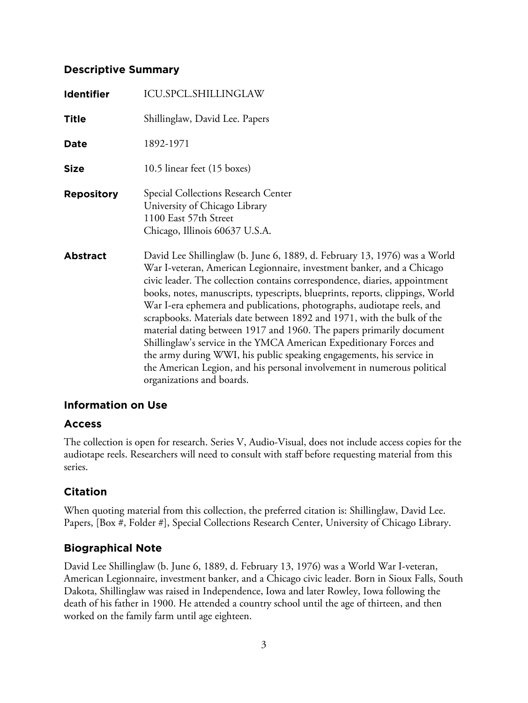# **Descriptive Summary**

| <b>Identifier</b> | ICU.SPCL.SHILLINGLAW                                                                                                                                                                                                                                                                                                                                                                                                                                                                                                                                                                                                                                                                                                                                                                                 |
|-------------------|------------------------------------------------------------------------------------------------------------------------------------------------------------------------------------------------------------------------------------------------------------------------------------------------------------------------------------------------------------------------------------------------------------------------------------------------------------------------------------------------------------------------------------------------------------------------------------------------------------------------------------------------------------------------------------------------------------------------------------------------------------------------------------------------------|
| <b>Title</b>      | Shillinglaw, David Lee. Papers                                                                                                                                                                                                                                                                                                                                                                                                                                                                                                                                                                                                                                                                                                                                                                       |
| <b>Date</b>       | 1892-1971                                                                                                                                                                                                                                                                                                                                                                                                                                                                                                                                                                                                                                                                                                                                                                                            |
| <b>Size</b>       | 10.5 linear feet (15 boxes)                                                                                                                                                                                                                                                                                                                                                                                                                                                                                                                                                                                                                                                                                                                                                                          |
| <b>Repository</b> | Special Collections Research Center<br>University of Chicago Library<br>1100 East 57th Street<br>Chicago, Illinois 60637 U.S.A.                                                                                                                                                                                                                                                                                                                                                                                                                                                                                                                                                                                                                                                                      |
| <b>Abstract</b>   | David Lee Shillinglaw (b. June 6, 1889, d. February 13, 1976) was a World<br>War I-veteran, American Legionnaire, investment banker, and a Chicago<br>civic leader. The collection contains correspondence, diaries, appointment<br>books, notes, manuscripts, typescripts, blueprints, reports, clippings, World<br>War I-era ephemera and publications, photographs, audiotape reels, and<br>scrapbooks. Materials date between 1892 and 1971, with the bulk of the<br>material dating between 1917 and 1960. The papers primarily document<br>Shillinglaw's service in the YMCA American Expeditionary Forces and<br>the army during WWI, his public speaking engagements, his service in<br>the American Legion, and his personal involvement in numerous political<br>organizations and boards. |

# **Information on Use**

## **Access**

The collection is open for research. Series V, Audio-Visual, does not include access copies for the audiotape reels. Researchers will need to consult with staff before requesting material from this series.

# **Citation**

When quoting material from this collection, the preferred citation is: Shillinglaw, David Lee. Papers, [Box #, Folder #], Special Collections Research Center, University of Chicago Library.

# **Biographical Note**

David Lee Shillinglaw (b. June 6, 1889, d. February 13, 1976) was a World War I-veteran, American Legionnaire, investment banker, and a Chicago civic leader. Born in Sioux Falls, South Dakota, Shillinglaw was raised in Independence, Iowa and later Rowley, Iowa following the death of his father in 1900. He attended a country school until the age of thirteen, and then worked on the family farm until age eighteen.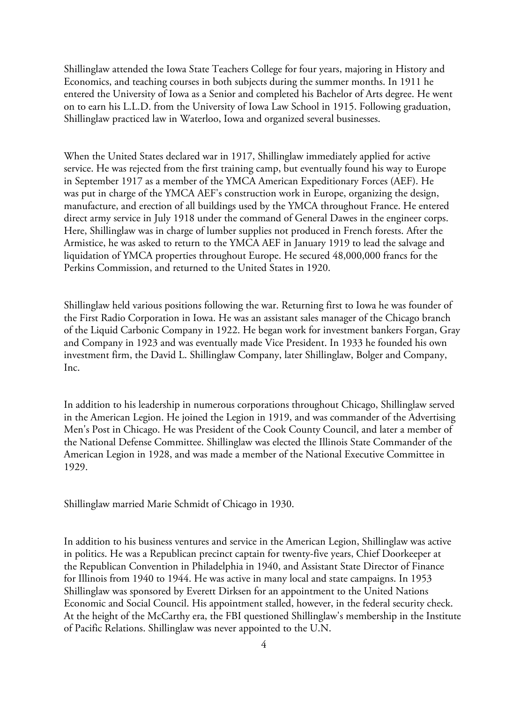Shillinglaw attended the Iowa State Teachers College for four years, majoring in History and Economics, and teaching courses in both subjects during the summer months. In 1911 he entered the University of Iowa as a Senior and completed his Bachelor of Arts degree. He went on to earn his L.L.D. from the University of Iowa Law School in 1915. Following graduation, Shillinglaw practiced law in Waterloo, Iowa and organized several businesses.

When the United States declared war in 1917, Shillinglaw immediately applied for active service. He was rejected from the first training camp, but eventually found his way to Europe in September 1917 as a member of the YMCA American Expeditionary Forces (AEF). He was put in charge of the YMCA AEF's construction work in Europe, organizing the design, manufacture, and erection of all buildings used by the YMCA throughout France. He entered direct army service in July 1918 under the command of General Dawes in the engineer corps. Here, Shillinglaw was in charge of lumber supplies not produced in French forests. After the Armistice, he was asked to return to the YMCA AEF in January 1919 to lead the salvage and liquidation of YMCA properties throughout Europe. He secured 48,000,000 francs for the Perkins Commission, and returned to the United States in 1920.

Shillinglaw held various positions following the war. Returning first to Iowa he was founder of the First Radio Corporation in Iowa. He was an assistant sales manager of the Chicago branch of the Liquid Carbonic Company in 1922. He began work for investment bankers Forgan, Gray and Company in 1923 and was eventually made Vice President. In 1933 he founded his own investment firm, the David L. Shillinglaw Company, later Shillinglaw, Bolger and Company, Inc.

In addition to his leadership in numerous corporations throughout Chicago, Shillinglaw served in the American Legion. He joined the Legion in 1919, and was commander of the Advertising Men's Post in Chicago. He was President of the Cook County Council, and later a member of the National Defense Committee. Shillinglaw was elected the Illinois State Commander of the American Legion in 1928, and was made a member of the National Executive Committee in 1929.

Shillinglaw married Marie Schmidt of Chicago in 1930.

In addition to his business ventures and service in the American Legion, Shillinglaw was active in politics. He was a Republican precinct captain for twenty-five years, Chief Doorkeeper at the Republican Convention in Philadelphia in 1940, and Assistant State Director of Finance for Illinois from 1940 to 1944. He was active in many local and state campaigns. In 1953 Shillinglaw was sponsored by Everett Dirksen for an appointment to the United Nations Economic and Social Council. His appointment stalled, however, in the federal security check. At the height of the McCarthy era, the FBI questioned Shillinglaw's membership in the Institute of Pacific Relations. Shillinglaw was never appointed to the U.N.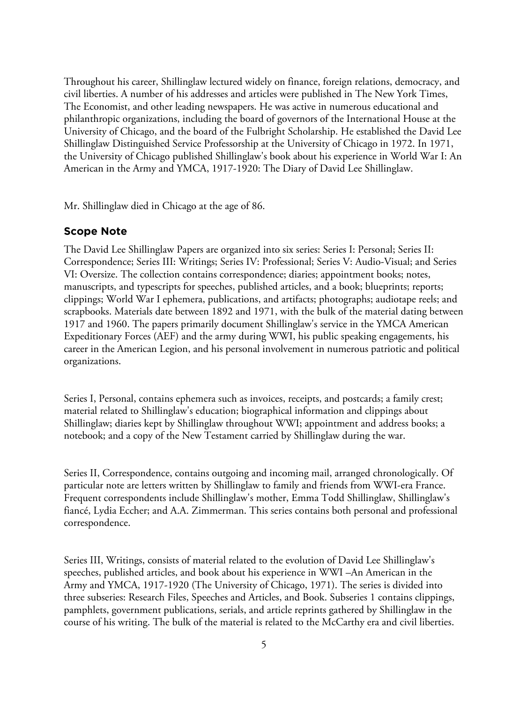Throughout his career, Shillinglaw lectured widely on finance, foreign relations, democracy, and civil liberties. A number of his addresses and articles were published in The New York Times, The Economist, and other leading newspapers. He was active in numerous educational and philanthropic organizations, including the board of governors of the International House at the University of Chicago, and the board of the Fulbright Scholarship. He established the David Lee Shillinglaw Distinguished Service Professorship at the University of Chicago in 1972. In 1971, the University of Chicago published Shillinglaw's book about his experience in World War I: An American in the Army and YMCA, 1917-1920: The Diary of David Lee Shillinglaw.

Mr. Shillinglaw died in Chicago at the age of 86.

## **Scope Note**

The David Lee Shillinglaw Papers are organized into six series: Series I: Personal; Series II: Correspondence; Series III: Writings; Series IV: Professional; Series V: Audio-Visual; and Series VI: Oversize. The collection contains correspondence; diaries; appointment books; notes, manuscripts, and typescripts for speeches, published articles, and a book; blueprints; reports; clippings; World War I ephemera, publications, and artifacts; photographs; audiotape reels; and scrapbooks. Materials date between 1892 and 1971, with the bulk of the material dating between 1917 and 1960. The papers primarily document Shillinglaw's service in the YMCA American Expeditionary Forces (AEF) and the army during WWI, his public speaking engagements, his career in the American Legion, and his personal involvement in numerous patriotic and political organizations.

Series I, Personal, contains ephemera such as invoices, receipts, and postcards; a family crest; material related to Shillinglaw's education; biographical information and clippings about Shillinglaw; diaries kept by Shillinglaw throughout WWI; appointment and address books; a notebook; and a copy of the New Testament carried by Shillinglaw during the war.

Series II, Correspondence, contains outgoing and incoming mail, arranged chronologically. Of particular note are letters written by Shillinglaw to family and friends from WWI-era France. Frequent correspondents include Shillinglaw's mother, Emma Todd Shillinglaw, Shillinglaw's fiancé, Lydia Eccher; and A.A. Zimmerman. This series contains both personal and professional correspondence.

Series III, Writings, consists of material related to the evolution of David Lee Shillinglaw's speeches, published articles, and book about his experience in WWI –An American in the Army and YMCA, 1917-1920 (The University of Chicago, 1971). The series is divided into three subseries: Research Files, Speeches and Articles, and Book. Subseries 1 contains clippings, pamphlets, government publications, serials, and article reprints gathered by Shillinglaw in the course of his writing. The bulk of the material is related to the McCarthy era and civil liberties.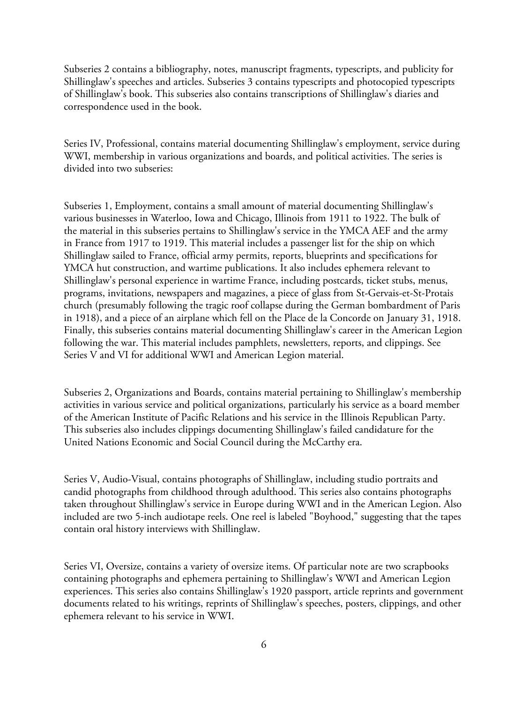Subseries 2 contains a bibliography, notes, manuscript fragments, typescripts, and publicity for Shillinglaw's speeches and articles. Subseries 3 contains typescripts and photocopied typescripts of Shillinglaw's book. This subseries also contains transcriptions of Shillinglaw's diaries and correspondence used in the book.

Series IV, Professional, contains material documenting Shillinglaw's employment, service during WWI, membership in various organizations and boards, and political activities. The series is divided into two subseries:

Subseries 1, Employment, contains a small amount of material documenting Shillinglaw's various businesses in Waterloo, Iowa and Chicago, Illinois from 1911 to 1922. The bulk of the material in this subseries pertains to Shillinglaw's service in the YMCA AEF and the army in France from 1917 to 1919. This material includes a passenger list for the ship on which Shillinglaw sailed to France, official army permits, reports, blueprints and specifications for YMCA hut construction, and wartime publications. It also includes ephemera relevant to Shillinglaw's personal experience in wartime France, including postcards, ticket stubs, menus, programs, invitations, newspapers and magazines, a piece of glass from St-Gervais-et-St-Protais church (presumably following the tragic roof collapse during the German bombardment of Paris in 1918), and a piece of an airplane which fell on the Place de la Concorde on January 31, 1918. Finally, this subseries contains material documenting Shillinglaw's career in the American Legion following the war. This material includes pamphlets, newsletters, reports, and clippings. See Series V and VI for additional WWI and American Legion material.

Subseries 2, Organizations and Boards, contains material pertaining to Shillinglaw's membership activities in various service and political organizations, particularly his service as a board member of the American Institute of Pacific Relations and his service in the Illinois Republican Party. This subseries also includes clippings documenting Shillinglaw's failed candidature for the United Nations Economic and Social Council during the McCarthy era.

Series V, Audio-Visual, contains photographs of Shillinglaw, including studio portraits and candid photographs from childhood through adulthood. This series also contains photographs taken throughout Shillinglaw's service in Europe during WWI and in the American Legion. Also included are two 5-inch audiotape reels. One reel is labeled "Boyhood," suggesting that the tapes contain oral history interviews with Shillinglaw.

Series VI, Oversize, contains a variety of oversize items. Of particular note are two scrapbooks containing photographs and ephemera pertaining to Shillinglaw's WWI and American Legion experiences. This series also contains Shillinglaw's 1920 passport, article reprints and government documents related to his writings, reprints of Shillinglaw's speeches, posters, clippings, and other ephemera relevant to his service in WWI.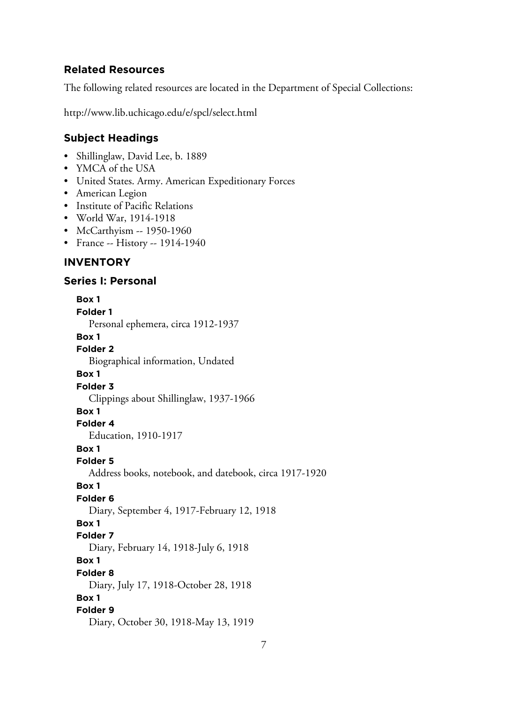## **Related Resources**

The following related resources are located in the Department of Special Collections:

http://www.lib.uchicago.edu/e/spcl/select.html

# **Subject Headings**

- Shillinglaw, David Lee, b. 1889
- YMCA of the USA
- United States. Army. American Expeditionary Forces
- American Legion
- Institute of Pacific Relations
- World War, 1914-1918
- McCarthyism -- 1950-1960
- France -- History -- 1914-1940

# **INVENTORY**

## **Series I: Personal**

**Box 1 Folder 1** Personal ephemera, circa 1912-1937 **Box 1 Folder 2** Biographical information, Undated **Box 1 Folder 3** Clippings about Shillinglaw, 1937-1966 **Box 1 Folder 4** Education, 1910-1917 **Box 1 Folder 5** Address books, notebook, and datebook, circa 1917-1920 **Box 1 Folder 6** Diary, September 4, 1917-February 12, 1918 **Box 1 Folder 7** Diary, February 14, 1918-July 6, 1918 **Box 1 Folder 8** Diary, July 17, 1918-October 28, 1918 **Box 1 Folder 9** Diary, October 30, 1918-May 13, 1919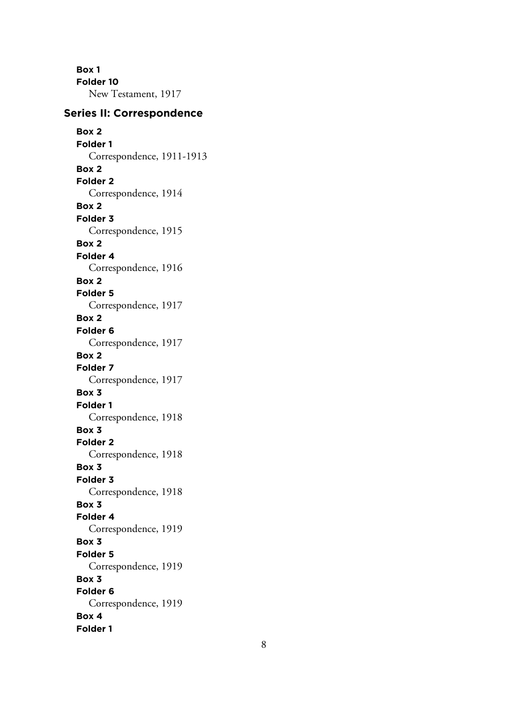**Box 1 Folder 10** New Testament, 1917

## **Series II: Correspondence**

**Box 2 Folder 1** Correspondence, 1911-1913 **Box 2 Folder 2** Correspondence, 1914 **Box 2 Folder 3** Correspondence, 1915 **Box 2 Folder 4** Correspondence, 1916 **Box 2 Folder 5** Correspondence, 1917 **Box 2 Folder 6** Correspondence, 1917 **Box 2 Folder 7** Correspondence, 1917 **Box 3 Folder 1** Correspondence, 1918 **Box 3 Folder 2** Correspondence, 1918 **Box 3 Folder 3** Correspondence, 1918 **Box 3 Folder 4** Correspondence, 1919 **Box 3 Folder 5** Correspondence, 1919 **Box 3 Folder 6** Correspondence, 1919 **Box 4 Folder 1**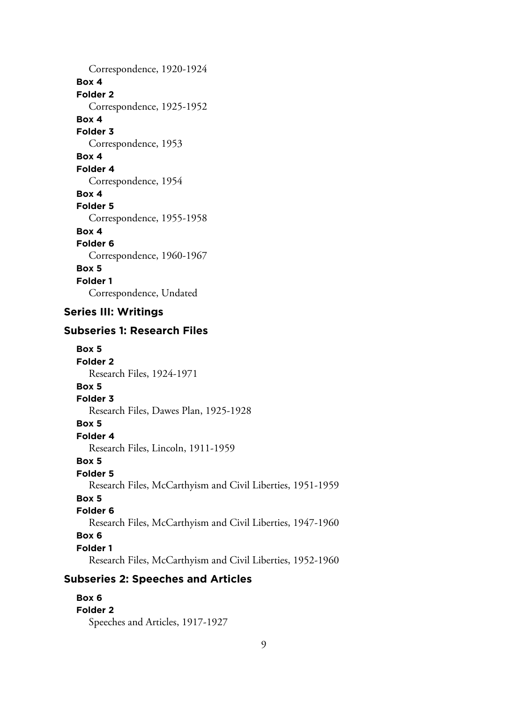Correspondence, 1920-1924 **Box 4 Folder 2** Correspondence, 1925-1952 **Box 4 Folder 3** Correspondence, 1953 **Box 4 Folder 4** Correspondence, 1954 **Box 4 Folder 5** Correspondence, 1955-1958 **Box 4 Folder 6** Correspondence, 1960-1967 **Box 5 Folder 1** Correspondence, Undated

# **Series III: Writings**

# **Subseries 1: Research Files**

**Box 5 Folder 2** Research Files, 1924-1971 **Box 5 Folder 3** Research Files, Dawes Plan, 1925-1928 **Box 5 Folder 4** Research Files, Lincoln, 1911-1959 **Box 5 Folder 5** Research Files, McCarthyism and Civil Liberties, 1951-1959 **Box 5 Folder 6** Research Files, McCarthyism and Civil Liberties, 1947-1960 **Box 6 Folder 1** Research Files, McCarthyism and Civil Liberties, 1952-1960

# **Subseries 2: Speeches and Articles**

**Box 6 Folder 2** Speeches and Articles, 1917-1927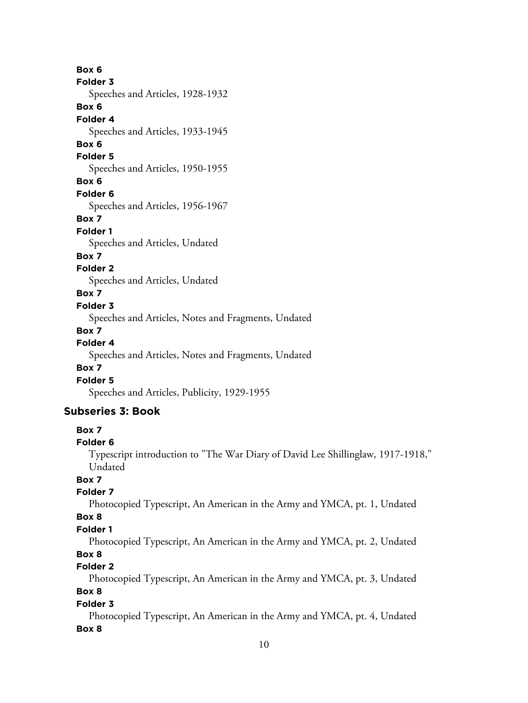**Box 6 Folder 3** Speeches and Articles, 1928-1932 **Box 6 Folder 4** Speeches and Articles, 1933-1945 **Box 6 Folder 5** Speeches and Articles, 1950-1955 **Box 6 Folder 6** Speeches and Articles, 1956-1967 **Box 7 Folder 1** Speeches and Articles, Undated **Box 7 Folder 2** Speeches and Articles, Undated **Box 7 Folder 3**

Speeches and Articles, Notes and Fragments, Undated

## **Box 7**

## **Folder 4**

Speeches and Articles, Notes and Fragments, Undated

## **Box 7**

## **Folder 5**

Speeches and Articles, Publicity, 1929-1955

## **Subseries 3: Book**

## **Box 7**

#### **Folder 6**

Typescript introduction to "The War Diary of David Lee Shillinglaw, 1917-1918," Undated

# **Box 7**

## **Folder 7**

Photocopied Typescript, An American in the Army and YMCA, pt. 1, Undated

## **Box 8**

#### **Folder 1**

Photocopied Typescript, An American in the Army and YMCA, pt. 2, Undated

# **Box 8**

# **Folder 2**

Photocopied Typescript, An American in the Army and YMCA, pt. 3, Undated **Box 8**

# **Folder 3**

Photocopied Typescript, An American in the Army and YMCA, pt. 4, Undated **Box 8**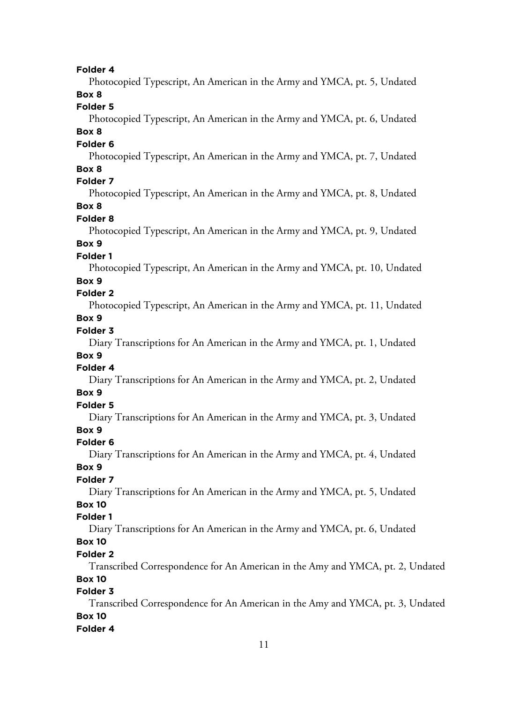## **Folder 4**

Photocopied Typescript, An American in the Army and YMCA, pt. 5, Undated **Box 8**

#### **Folder 5**

Photocopied Typescript, An American in the Army and YMCA, pt. 6, Undated **Box 8**

# **Folder 6**

Photocopied Typescript, An American in the Army and YMCA, pt. 7, Undated **Box 8**

## **Folder 7**

Photocopied Typescript, An American in the Army and YMCA, pt. 8, Undated **Box 8**

#### **Folder 8**

Photocopied Typescript, An American in the Army and YMCA, pt. 9, Undated **Box 9**

## **Folder 1**

Photocopied Typescript, An American in the Army and YMCA, pt. 10, Undated

## **Box 9**

# **Folder 2**

Photocopied Typescript, An American in the Army and YMCA, pt. 11, Undated **Box 9**

#### **Folder 3**

Diary Transcriptions for An American in the Army and YMCA, pt. 1, Undated **Box 9**

#### **Folder 4**

Diary Transcriptions for An American in the Army and YMCA, pt. 2, Undated **Box 9**

## **Folder 5**

Diary Transcriptions for An American in the Army and YMCA, pt. 3, Undated **Box 9**

# **Folder 6**

Diary Transcriptions for An American in the Army and YMCA, pt. 4, Undated

## **Box 9**

## **Folder 7**

Diary Transcriptions for An American in the Army and YMCA, pt. 5, Undated

# **Box 10**

# **Folder 1**

Diary Transcriptions for An American in the Army and YMCA, pt. 6, Undated

# **Box 10**

#### **Folder 2**

Transcribed Correspondence for An American in the Amy and YMCA, pt. 2, Undated

# **Box 10**

# **Folder 3**

Transcribed Correspondence for An American in the Amy and YMCA, pt. 3, Undated **Box 10**

## **Folder 4**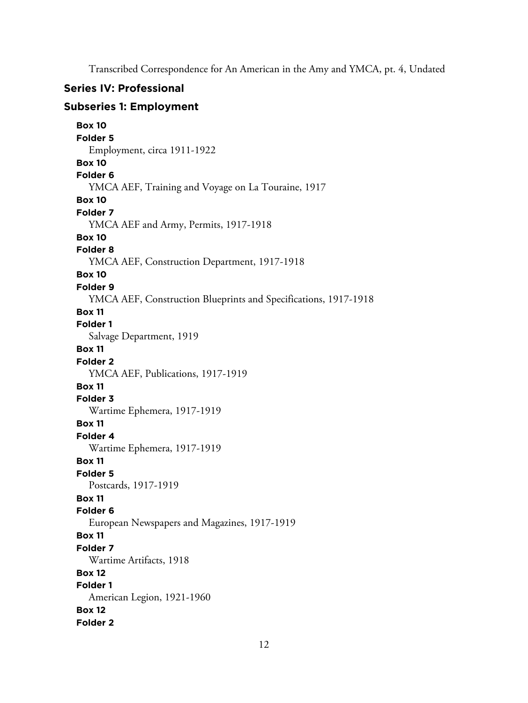Transcribed Correspondence for An American in the Amy and YMCA, pt. 4, Undated

## **Series IV: Professional**

## **Subseries 1: Employment**

```
Box 10
Folder 5
  Employment, circa 1911-1922
Box 10
Folder 6
  YMCA AEF, Training and Voyage on La Touraine, 1917
Box 10
Folder 7
  YMCA AEF and Army, Permits, 1917-1918
Box 10
Folder 8
  YMCA AEF, Construction Department, 1917-1918
Box 10
Folder 9
  YMCA AEF, Construction Blueprints and Specifications, 1917-1918
Box 11
Folder 1
  Salvage Department, 1919
Box 11
Folder 2
  YMCA AEF, Publications, 1917-1919
Box 11
Folder 3
  Wartime Ephemera, 1917-1919
Box 11
Folder 4
  Wartime Ephemera, 1917-1919
Box 11
Folder 5
  Postcards, 1917-1919
Box 11
Folder 6
  European Newspapers and Magazines, 1917-1919
Box 11
Folder 7
  Wartime Artifacts, 1918
Box 12
Folder 1
  American Legion, 1921-1960
Box 12
Folder 2
```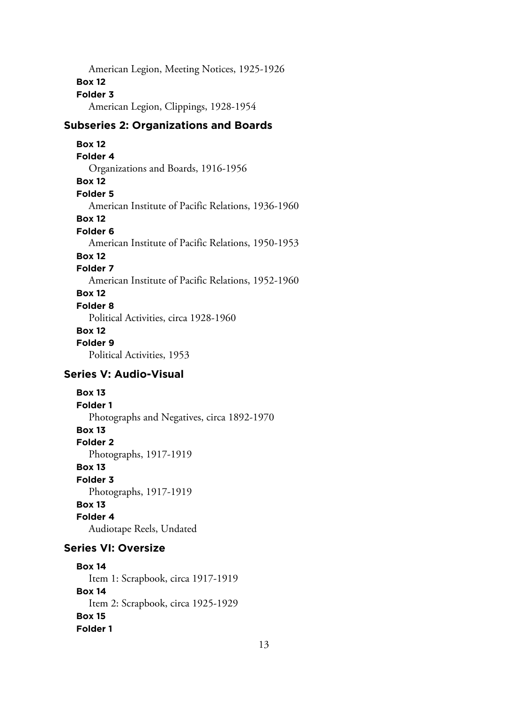American Legion, Meeting Notices, 1925-1926 **Box 12 Folder 3** American Legion, Clippings, 1928-1954

# **Subseries 2: Organizations and Boards**

**Box 12 Folder 4** Organizations and Boards, 1916-1956 **Box 12 Folder 5** American Institute of Pacific Relations, 1936-1960 **Box 12 Folder 6** American Institute of Pacific Relations, 1950-1953 **Box 12 Folder 7** American Institute of Pacific Relations, 1952-1960 **Box 12 Folder 8** Political Activities, circa 1928-1960 **Box 12**

# **Folder 9**

Political Activities, 1953

# **Series V: Audio-Visual**

**Box 13 Folder 1** Photographs and Negatives, circa 1892-1970 **Box 13 Folder 2** Photographs, 1917-1919 **Box 13 Folder 3** Photographs, 1917-1919 **Box 13 Folder 4** Audiotape Reels, Undated

# **Series VI: Oversize**

**Box 14** Item 1: Scrapbook, circa 1917-1919 **Box 14** Item 2: Scrapbook, circa 1925-1929 **Box 15 Folder 1**